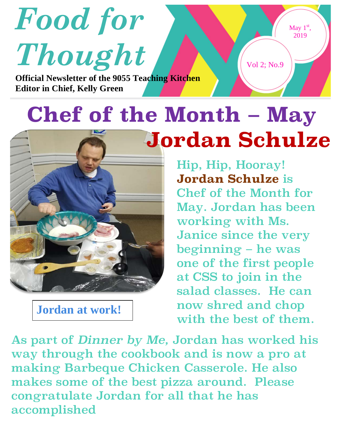

## **Chef of the Month – May Jordan Schulze**

Hip, Hip, Hooray! **Jordan Schulze** is Chef of the Month for May. Jordan has been working with Ms. Janice since the very beginning – he was one of the first people at CSS to join in the salad classes. He can now shred and chop with the best of them.

As part of *Dinner by Me,* Jordan has worked his way through the cookbook and is now a pro at making Barbeque Chicken Casserole. He also makes some of the best pizza around. Please congratulate Jordan for all that he has accomplished

**Jordan at work!**